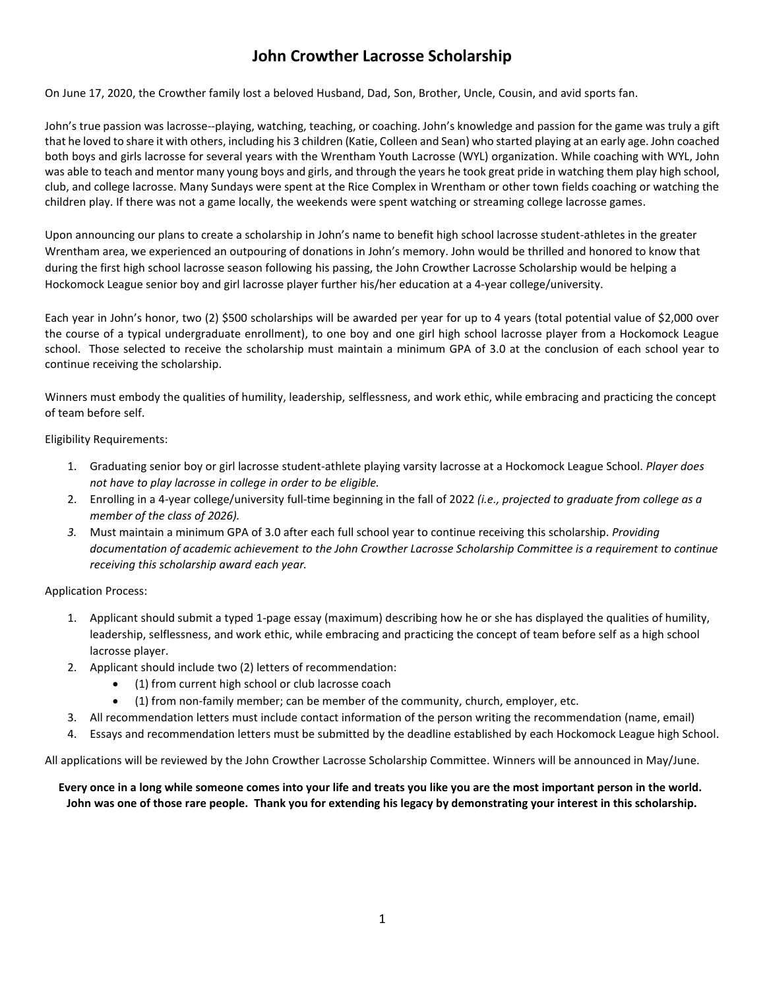# **John Crowther Lacrosse Scholarship**

On June 17, 2020, the Crowther family lost a beloved Husband, Dad, Son, Brother, Uncle, Cousin, and avid sports fan.

John's true passion was lacrosse--playing, watching, teaching, or coaching. John's knowledge and passion for the game was truly a gift that he loved to share it with others, including his 3 children (Katie, Colleen and Sean) who started playing at an early age. John coached both boys and girls lacrosse for several years with the Wrentham Youth Lacrosse (WYL) organization. While coaching with WYL, John was able to teach and mentor many young boys and girls, and through the years he took great pride in watching them play high school, club, and college lacrosse. Many Sundays were spent at the Rice Complex in Wrentham or other town fields coaching or watching the children play. If there was not a game locally, the weekends were spent watching or streaming college lacrosse games.

Upon announcing our plans to create a scholarship in John's name to benefit high school lacrosse student-athletes in the greater Wrentham area, we experienced an outpouring of donations in John's memory. John would be thrilled and honored to know that during the first high school lacrosse season following his passing, the John Crowther Lacrosse Scholarship would be helping a Hockomock League senior boy and girl lacrosse player further his/her education at a 4-year college/university.

Each year in John's honor, two (2) \$500 scholarships will be awarded per year for up to 4 years (total potential value of \$2,000 over the course of a typical undergraduate enrollment), to one boy and one girl high school lacrosse player from a Hockomock League school. Those selected to receive the scholarship must maintain a minimum GPA of 3.0 at the conclusion of each school year to continue receiving the scholarship.

Winners must embody the qualities of humility, leadership, selflessness, and work ethic, while embracing and practicing the concept of team before self.

Eligibility Requirements:

- 1. Graduating senior boy or girl lacrosse student-athlete playing varsity lacrosse at a Hockomock League School. *Player does not have to play lacrosse in college in order to be eligible.*
- 2. Enrolling in a 4-year college/university full-time beginning in the fall of 2022 *(i.e., projected to graduate from college as a member of the class of 2026).*
- *3.* Must maintain a minimum GPA of 3.0 after each full school year to continue receiving this scholarship. *Providing documentation of academic achievement to the John Crowther Lacrosse Scholarship Committee is a requirement to continue receiving this scholarship award each year.*

#### Application Process:

- 1. Applicant should submit a typed 1-page essay (maximum) describing how he or she has displayed the qualities of humility, leadership, selflessness, and work ethic, while embracing and practicing the concept of team before self as a high school lacrosse player.
- 2. Applicant should include two (2) letters of recommendation:
	- (1) from current high school or club lacrosse coach
	- (1) from non-family member; can be member of the community, church, employer, etc.
- 3. All recommendation letters must include contact information of the person writing the recommendation (name, email)
- 4. Essays and recommendation letters must be submitted by the deadline established by each Hockomock League high School.

All applications will be reviewed by the John Crowther Lacrosse Scholarship Committee. Winners will be announced in May/June.

**Every once in a long while someone comes into your life and treats you like you are the most important person in the world. John was one of those rare people. Thank you for extending his legacy by demonstrating your interest in this scholarship.**